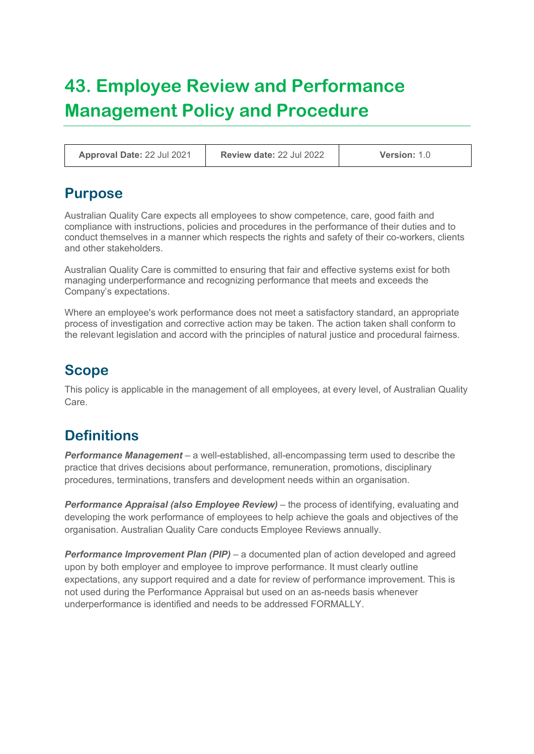# **43. Employee Review and Performance Management Policy and Procedure**

**Approval Date:** 22 Jul 2021 **Review date:** 22 Jul 2022 **Version:** 1.0

## **Purpose**

Australian Quality Care expects all employees to show competence, care, good faith and compliance with instructions, policies and procedures in the performance of their duties and to conduct themselves in a manner which respects the rights and safety of their co-workers, clients and other stakeholders.

Australian Quality Care is committed to ensuring that fair and effective systems exist for both managing underperformance and recognizing performance that meets and exceeds the Company's expectations.

Where an employee's work performance does not meet a satisfactory standard, an appropriate process of investigation and corrective action may be taken. The action taken shall conform to the relevant legislation and accord with the principles of natural justice and procedural fairness.

## **Scope**

This policy is applicable in the management of all employees, at every level, of Australian Quality Care.

## **Definitions**

*Performance Management* – a well-established, all-encompassing term used to describe the practice that drives decisions about performance, remuneration, promotions, disciplinary procedures, terminations, transfers and development needs within an organisation.

*Performance Appraisal (also Employee Review)* – the process of identifying, evaluating and developing the work performance of employees to help achieve the goals and objectives of the organisation. Australian Quality Care conducts Employee Reviews annually.

**Performance Improvement Plan (PIP)** – a documented plan of action developed and agreed upon by both employer and employee to improve performance. It must clearly outline expectations, any support required and a date for review of performance improvement. This is not used during the Performance Appraisal but used on an as-needs basis whenever underperformance is identified and needs to be addressed FORMALLY.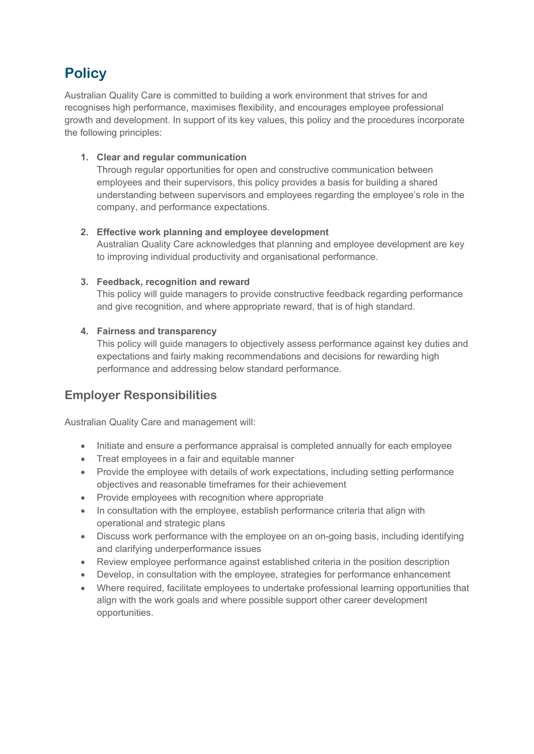## **Policy**

Australian Quality Care is committed to building a work environment that strives for and recognises high performance, maximises flexibility, and encourages employee professional growth and development. In support of its key values, this policy and the procedures incorporate the following principles:

#### **1. Clear and regular communication**

Through regular opportunities for open and constructive communication between employees and their supervisors, this policy provides a basis for building a shared understanding between supervisors and employees regarding the employee's role in the company, and performance expectations.

#### **2. Effective work planning and employee development**

Australian Quality Care acknowledges that planning and employee development are key to improving individual productivity and organisational performance.

#### **3. Feedback, recognition and reward**

This policy will guide managers to provide constructive feedback regarding performance and give recognition, and where appropriate reward, that is of high standard.

#### **4. Fairness and transparency**

This policy will guide managers to objectively assess performance against key duties and expectations and fairly making recommendations and decisions for rewarding high performance and addressing below standard performance.

## **Employer Responsibilities**

Australian Quality Care and management will:

- Initiate and ensure a performance appraisal is completed annually for each employee
- Treat employees in a fair and equitable manner
- Provide the employee with details of work expectations, including setting performance objectives and reasonable timeframes for their achievement
- Provide employees with recognition where appropriate
- In consultation with the employee, establish performance criteria that align with operational and strategic plans
- Discuss work performance with the employee on an on-going basis, including identifying and clarifying underperformance issues
- Review employee performance against established criteria in the position description
- Develop, in consultation with the employee, strategies for performance enhancement
- Where required, facilitate employees to undertake professional learning opportunities that align with the work goals and where possible support other career development opportunities.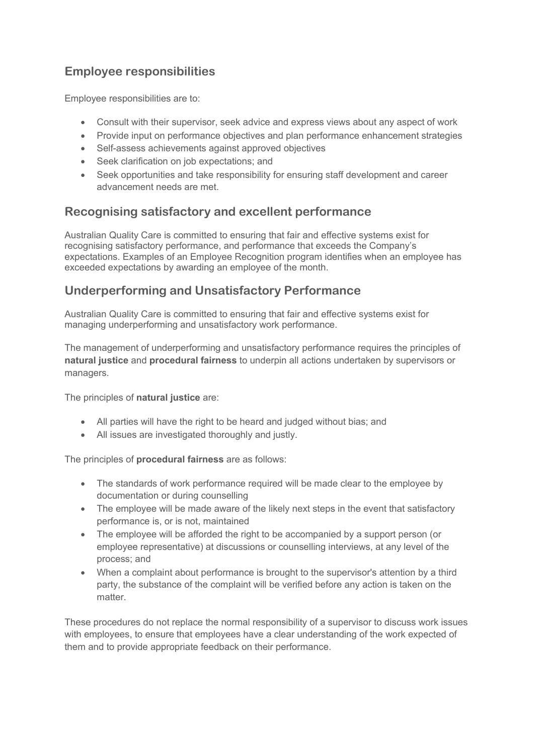## **Employee responsibilities**

Employee responsibilities are to:

- Consult with their supervisor, seek advice and express views about any aspect of work
- Provide input on performance objectives and plan performance enhancement strategies
- Self-assess achievements against approved objectives
- Seek clarification on job expectations; and
- Seek opportunities and take responsibility for ensuring staff development and career advancement needs are met.

### **Recognising satisfactory and excellent performance**

Australian Quality Care is committed to ensuring that fair and effective systems exist for recognising satisfactory performance, and performance that exceeds the Company's expectations. Examples of an Employee Recognition program identifies when an employee has exceeded expectations by awarding an employee of the month.

### **Underperforming and Unsatisfactory Performance**

Australian Quality Care is committed to ensuring that fair and effective systems exist for managing underperforming and unsatisfactory work performance.

The management of underperforming and unsatisfactory performance requires the principles of **natural justice** and **procedural fairness** to underpin all actions undertaken by supervisors or managers.

The principles of **natural justice** are:

- All parties will have the right to be heard and judged without bias; and
- All issues are investigated thoroughly and justly.

The principles of **procedural fairness** are as follows:

- The standards of work performance required will be made clear to the employee by documentation or during counselling
- The employee will be made aware of the likely next steps in the event that satisfactory performance is, or is not, maintained
- The employee will be afforded the right to be accompanied by a support person (or employee representative) at discussions or counselling interviews, at any level of the process; and
- When a complaint about performance is brought to the supervisor's attention by a third party, the substance of the complaint will be verified before any action is taken on the matter.

These procedures do not replace the normal responsibility of a supervisor to discuss work issues with employees, to ensure that employees have a clear understanding of the work expected of them and to provide appropriate feedback on their performance.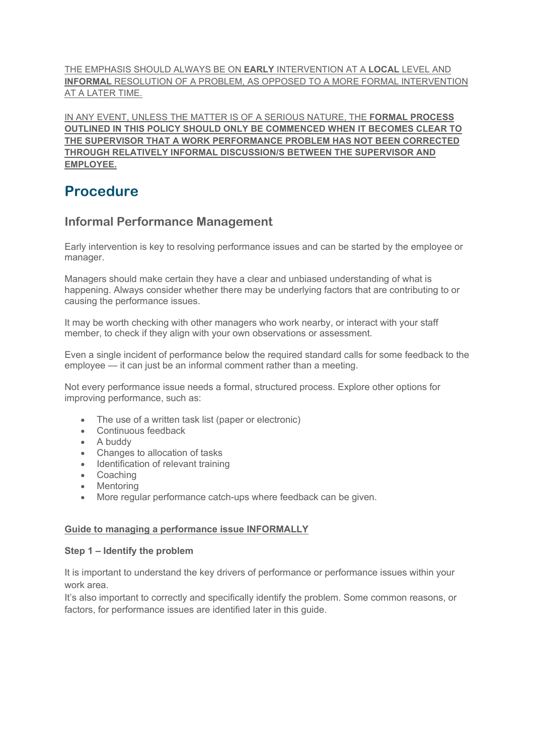THE EMPHASIS SHOULD ALWAYS BE ON **EARLY** INTERVENTION AT A **LOCAL** LEVEL AND **INFORMAL** RESOLUTION OF A PROBLEM, AS OPPOSED TO A MORE FORMAL INTERVENTION AT A LATER TIME.

IN ANY EVENT, UNLESS THE MATTER IS OF A SERIOUS NATURE, THE **FORMAL PROCESS OUTLINED IN THIS POLICY SHOULD ONLY BE COMMENCED WHEN IT BECOMES CLEAR TO THE SUPERVISOR THAT A WORK PERFORMANCE PROBLEM HAS NOT BEEN CORRECTED THROUGH RELATIVELY INFORMAL DISCUSSION/S BETWEEN THE SUPERVISOR AND EMPLOYEE.**

## **Procedure**

### **Informal Performance Management**

Early intervention is key to resolving performance issues and can be started by the employee or manager.

Managers should make certain they have a clear and unbiased understanding of what is happening. Always consider whether there may be underlying factors that are contributing to or causing the performance issues.

It may be worth checking with other managers who work nearby, or interact with your staff member, to check if they align with your own observations or assessment.

Even a single incident of performance below the required standard calls for some feedback to the employee — it can just be an informal comment rather than a meeting.

Not every performance issue needs a formal, structured process. Explore other options for improving performance, such as:

- The use of a written task list (paper or electronic)
- Continuous feedback
- A buddy
- Changes to allocation of tasks
- Identification of relevant training
- Coaching
- Mentoring
- More regular performance catch-ups where feedback can be given.

#### **Guide to managing a performance issue INFORMALLY**

#### **Step 1 – Identify the problem**

It is important to understand the key drivers of performance or performance issues within your work area.

It's also important to correctly and specifically identify the problem. Some common reasons, or factors, for performance issues are identified later in this guide.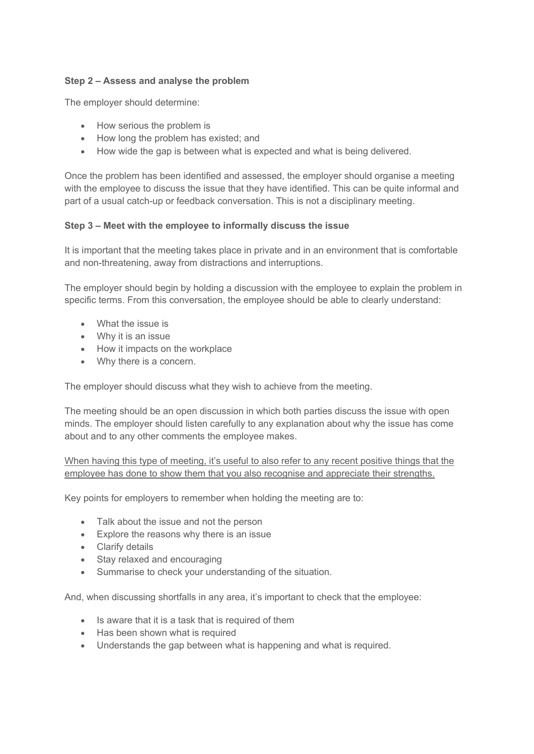#### **Step 2 – Assess and analyse the problem**

The employer should determine:

- How serious the problem is
- How long the problem has existed; and
- How wide the gap is between what is expected and what is being delivered.

Once the problem has been identified and assessed, the employer should organise a meeting with the employee to discuss the issue that they have identified. This can be quite informal and part of a usual catch-up or feedback conversation. This is not a disciplinary meeting.

#### **Step 3 – Meet with the employee to informally discuss the issue**

It is important that the meeting takes place in private and in an environment that is comfortable and non-threatening, away from distractions and interruptions.

The employer should begin by holding a discussion with the employee to explain the problem in specific terms. From this conversation, the employee should be able to clearly understand:

- What the issue is
- Why it is an issue
- How it impacts on the workplace
- Why there is a concern.

The employer should discuss what they wish to achieve from the meeting.

The meeting should be an open discussion in which both parties discuss the issue with open minds. The employer should listen carefully to any explanation about why the issue has come about and to any other comments the employee makes.

When having this type of meeting, it's useful to also refer to any recent positive things that the employee has done to show them that you also recognise and appreciate their strengths.

Key points for employers to remember when holding the meeting are to:

- Talk about the issue and not the person
- Explore the reasons why there is an issue
- Clarify details
- Stay relaxed and encouraging
- Summarise to check your understanding of the situation.

And, when discussing shortfalls in any area, it's important to check that the employee:

- Is aware that it is a task that is required of them
- Has been shown what is required
- Understands the gap between what is happening and what is required.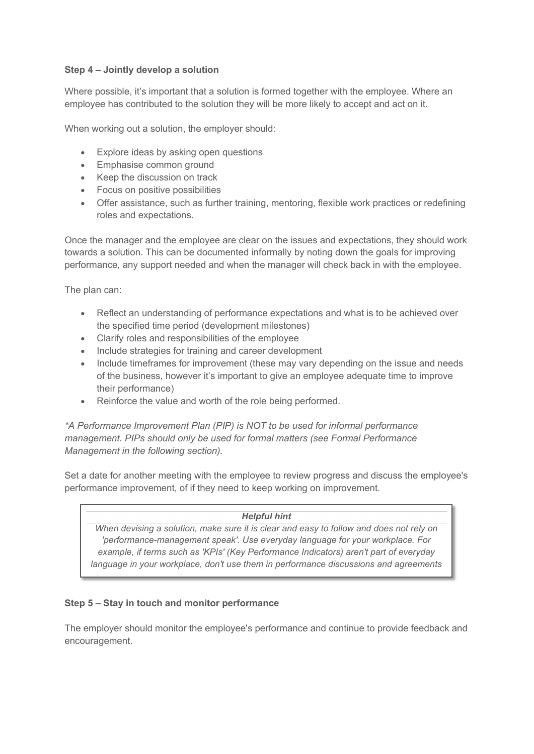#### **Step 4 – Jointly develop a solution**

Where possible, it's important that a solution is formed together with the employee. Where an employee has contributed to the solution they will be more likely to accept and act on it.

When working out a solution, the employer should:

- Explore ideas by asking open questions
- Emphasise common ground
- Keep the discussion on track
- Focus on positive possibilities
- Offer assistance, such as further training, mentoring, flexible work practices or redefining roles and expectations.

Once the manager and the employee are clear on the issues and expectations, they should work towards a solution. This can be documented informally by noting down the goals for improving performance, any support needed and when the manager will check back in with the employee.

The plan can:

- Reflect an understanding of performance expectations and what is to be achieved over the specified time period (development milestones)
- Clarify roles and responsibilities of the employee
- Include strategies for training and career development
- Include timeframes for improvement (these may vary depending on the issue and needs of the business, however it's important to give an employee adequate time to improve their performance)
- Reinforce the value and worth of the role being performed.

*\*A Performance Improvement Plan (PIP) is NOT to be used for informal performance management. PIPs should only be used for formal matters (see Formal Performance Management in the following section).*

Set a date for another meeting with the employee to review progress and discuss the employee's performance improvement, of if they need to keep working on improvement.

#### *Helpful hint*

*When devising a solution, make sure it is clear and easy to follow and does not rely on 'performance-management speak'. Use everyday language for your workplace. For example, if terms such as 'KPIs' (Key Performance Indicators) aren't part of everyday language in your workplace, don't use them in performance discussions and agreements*

#### **Step 5 – Stay in touch and monitor performance**

The employer should monitor the employee's performance and continue to provide feedback and encouragement.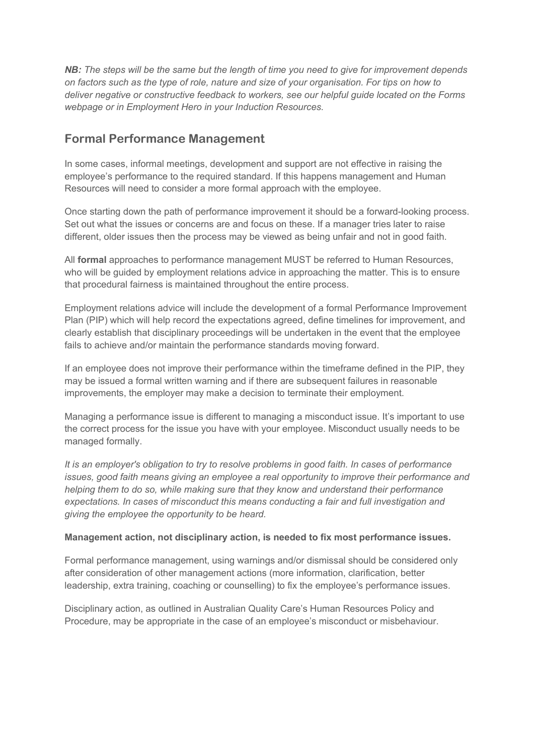*NB: The steps will be the same but the length of time you need to give for improvement depends on factors such as the type of role, nature and size of your organisation. For tips on how to deliver negative or constructive feedback to workers, see our helpful guide located on the Forms webpage or in Employment Hero in your Induction Resources.*

### **Formal Performance Management**

In some cases, informal meetings, development and support are not effective in raising the employee's performance to the required standard. If this happens management and Human Resources will need to consider a more formal approach with the employee.

Once starting down the path of performance improvement it should be a forward-looking process. Set out what the issues or concerns are and focus on these. If a manager tries later to raise different, older issues then the process may be viewed as being unfair and not in good faith.

All **formal** approaches to performance management MUST be referred to Human Resources, who will be guided by employment relations advice in approaching the matter. This is to ensure that procedural fairness is maintained throughout the entire process.

Employment relations advice will include the development of a formal Performance Improvement Plan (PIP) which will help record the expectations agreed, define timelines for improvement, and clearly establish that disciplinary proceedings will be undertaken in the event that the employee fails to achieve and/or maintain the performance standards moving forward.

If an employee does not improve their performance within the timeframe defined in the PIP, they may be issued a formal written warning and if there are subsequent failures in reasonable improvements, the employer may make a decision to terminate their employment.

Managing a performance issue is different to managing a misconduct issue. It's important to use the correct process for the issue you have with your employee. Misconduct usually needs to be managed formally.

*It is an employer's obligation to try to resolve problems in good faith. In cases of performance issues, good faith means giving an employee a real opportunity to improve their performance and helping them to do so, while making sure that they know and understand their performance expectations. In cases of misconduct this means conducting a fair and full investigation and giving the employee the opportunity to be heard.*

#### **Management action, not disciplinary action, is needed to fix most performance issues.**

Formal performance management, using warnings and/or dismissal should be considered only after consideration of other management actions (more information, clarification, better leadership, extra training, coaching or counselling) to fix the employee's performance issues.

Disciplinary action, as outlined in Australian Quality Care's Human Resources Policy and Procedure, may be appropriate in the case of an employee's misconduct or misbehaviour.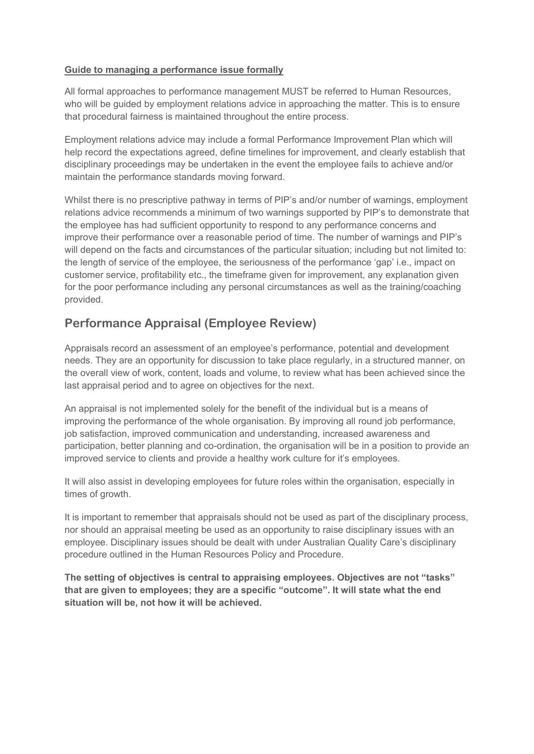#### **Guide to managing a performance issue formally**

All formal approaches to performance management MUST be referred to Human Resources, who will be guided by employment relations advice in approaching the matter. This is to ensure that procedural fairness is maintained throughout the entire process.

Employment relations advice may include a formal Performance Improvement Plan which will help record the expectations agreed, define timelines for improvement, and clearly establish that disciplinary proceedings may be undertaken in the event the employee fails to achieve and/or maintain the performance standards moving forward.

Whilst there is no prescriptive pathway in terms of PIP's and/or number of warnings, employment relations advice recommends a minimum of two warnings supported by PIP's to demonstrate that the employee has had sufficient opportunity to respond to any performance concerns and improve their performance over a reasonable period of time. The number of warnings and PIP's will depend on the facts and circumstances of the particular situation; including but not limited to: the length of service of the employee, the seriousness of the performance 'gap' i.e., impact on customer service, profitability etc., the timeframe given for improvement, any explanation given for the poor performance including any personal circumstances as well as the training/coaching provided.

### **Performance Appraisal (Employee Review)**

Appraisals record an assessment of an employee's performance, potential and development needs. They are an opportunity for discussion to take place regularly, in a structured manner, on the overall view of work, content, loads and volume, to review what has been achieved since the last appraisal period and to agree on objectives for the next.

An appraisal is not implemented solely for the benefit of the individual but is a means of improving the performance of the whole organisation. By improving all round job performance, job satisfaction, improved communication and understanding, increased awareness and participation, better planning and co-ordination, the organisation will be in a position to provide an improved service to clients and provide a healthy work culture for it's employees.

It will also assist in developing employees for future roles within the organisation, especially in times of growth.

It is important to remember that appraisals should not be used as part of the disciplinary process, nor should an appraisal meeting be used as an opportunity to raise disciplinary issues with an employee. Disciplinary issues should be dealt with under Australian Quality Care's disciplinary procedure outlined in the Human Resources Policy and Procedure.

**The setting of objectives is central to appraising employees. Objectives are not "tasks" that are given to employees; they are a specific "outcome". It will state what the end situation will be, not how it will be achieved.**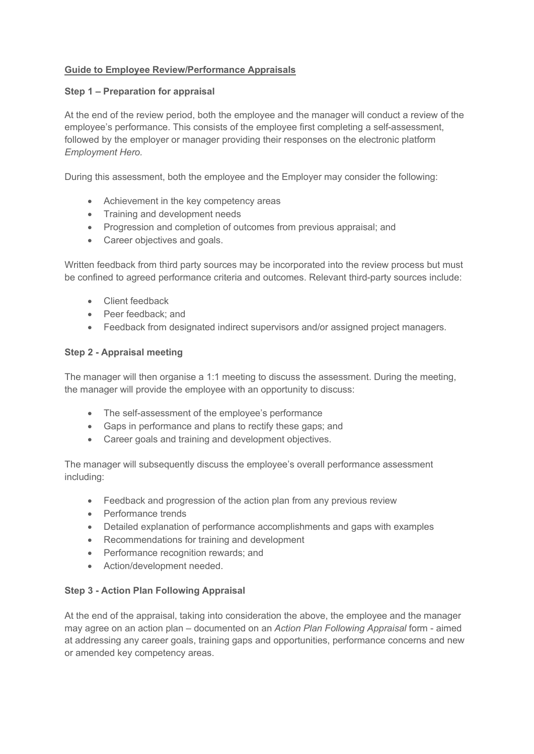#### **Guide to Employee Review/Performance Appraisals**

#### **Step 1 – Preparation for appraisal**

At the end of the review period, both the employee and the manager will conduct a review of the employee's performance. This consists of the employee first completing a self-assessment, followed by the employer or manager providing their responses on the electronic platform *Employment Hero.*

During this assessment, both the employee and the Employer may consider the following:

- Achievement in the key competency areas
- Training and development needs
- Progression and completion of outcomes from previous appraisal; and
- Career objectives and goals.

Written feedback from third party sources may be incorporated into the review process but must be confined to agreed performance criteria and outcomes. Relevant third-party sources include:

- Client feedback
- Peer feedback; and
- Feedback from designated indirect supervisors and/or assigned project managers.

#### **Step 2 - Appraisal meeting**

The manager will then organise a 1:1 meeting to discuss the assessment. During the meeting, the manager will provide the employee with an opportunity to discuss:

- The self-assessment of the employee's performance
- Gaps in performance and plans to rectify these gaps; and
- Career goals and training and development objectives.

The manager will subsequently discuss the employee's overall performance assessment including:

- Feedback and progression of the action plan from any previous review
- Performance trends
- Detailed explanation of performance accomplishments and gaps with examples
- Recommendations for training and development
- Performance recognition rewards; and
- Action/development needed.

#### **Step 3 - Action Plan Following Appraisal**

At the end of the appraisal, taking into consideration the above, the employee and the manager may agree on an action plan – documented on an *Action Plan Following Appraisal* form - aimed at addressing any career goals, training gaps and opportunities, performance concerns and new or amended key competency areas.